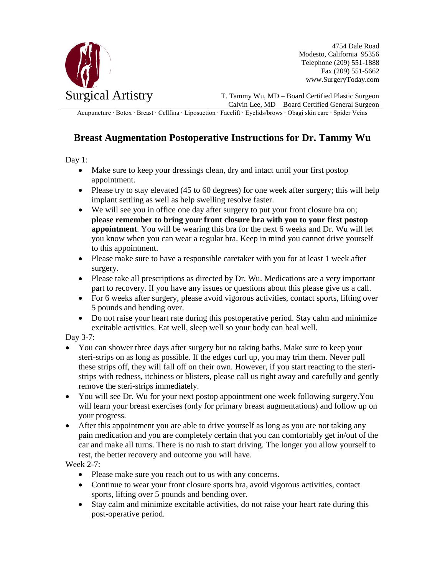

4754 Dale Road Modesto, California 95356 Telephone (209) 551-1888 Fax (209) 551-5662 www.SurgeryToday.com

T. Tammy Wu, MD – Board Certified Plastic Surgeon Calvin Lee, MD – Board Certified General Surgeon

Acupuncture ∙ Botox ∙ Breast ∙ Cellfina ∙ Liposuction ∙ Facelift ∙ Eyelids/brows ∙ Obagi skin care ∙ Spider Veins

## **Breast Augmentation Postoperative Instructions for Dr. Tammy Wu**

Day 1:

- Make sure to keep your dressings clean, dry and intact until your first postop appointment.
- Please try to stay elevated (45 to 60 degrees) for one week after surgery; this will help implant settling as well as help swelling resolve faster.
- We will see you in office one day after surgery to put your front closure bra on; **please remember to bring your front closure bra with you to your first postop appointment**. You will be wearing this bra for the next 6 weeks and Dr. Wu will let you know when you can wear a regular bra. Keep in mind you cannot drive yourself to this appointment.
- Please make sure to have a responsible caretaker with you for at least 1 week after surgery.
- Please take all prescriptions as directed by Dr. Wu. Medications are a very important part to recovery. If you have any issues or questions about this please give us a call.
- For 6 weeks after surgery, please avoid vigorous activities, contact sports, lifting over 5 pounds and bending over.
- Do not raise your heart rate during this postoperative period. Stay calm and minimize excitable activities. Eat well, sleep well so your body can heal well.

Day 3-7:

- You can shower three days after surgery but no taking baths. Make sure to keep your steri-strips on as long as possible. If the edges curl up, you may trim them. Never pull these strips off, they will fall off on their own. However, if you start reacting to the steristrips with redness, itchiness or blisters, please call us right away and carefully and gently remove the steri-strips immediately.
- You will see Dr. Wu for your next postop appointment one week following surgery.You will learn your breast exercises (only for primary breast augmentations) and follow up on your progress.
- After this appointment you are able to drive yourself as long as you are not taking any pain medication and you are completely certain that you can comfortably get in/out of the car and make all turns. There is no rush to start driving. The longer you allow yourself to rest, the better recovery and outcome you will have.

Week 2-7:

- Please make sure you reach out to us with any concerns.
- Continue to wear your front closure sports bra, avoid vigorous activities, contact sports, lifting over 5 pounds and bending over.
- Stay calm and minimize excitable activities, do not raise your heart rate during this post-operative period.